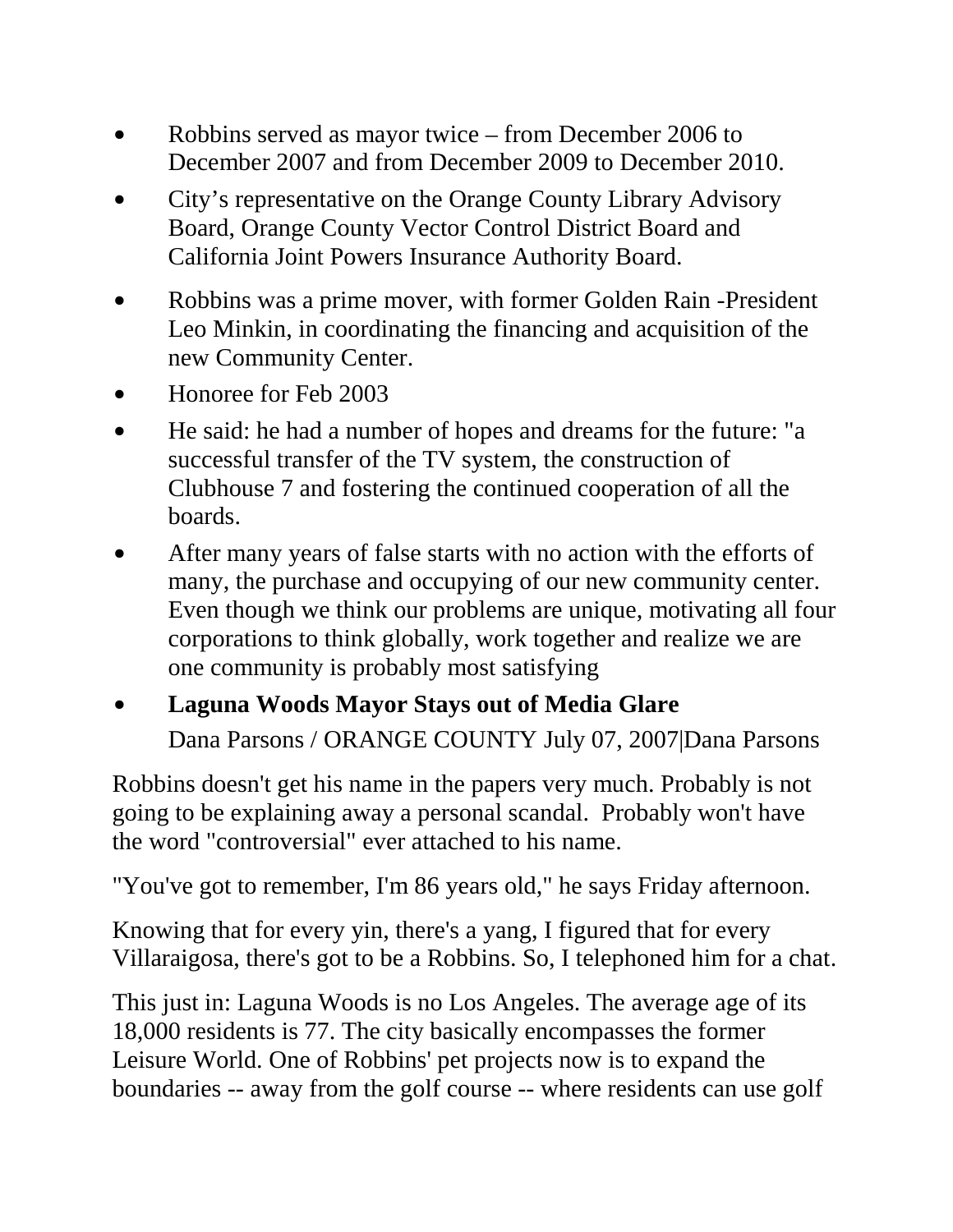- \$ Robbins served as mayor twice from December 2006 to December 2007 and from December 2009 to December 2010.
- City's representative on the Orange County Library Advisory Board, Orange County Vector Control District Board and California Joint Powers Insurance Authority Board.
- Robbins was a prime mover, with former Golden Rain -President Leo Minkin, in coordinating the financing and acquisition of the new Community Center.
- \$ Honoree for Feb 2003
- He said: he had a number of hopes and dreams for the future: "a successful transfer of the TV system, the construction of Clubhouse 7 and fostering the continued cooperation of all the boards.
- After many years of false starts with no action with the efforts of many, the purchase and occupying of our new community center. Even though we think our problems are unique, motivating all four corporations to think globally, work together and realize we are one community is probably most satisfying

## \$ **Laguna Woods Mayor Stays out of Media Glare** Dana Parsons / ORANGE COUNTY July 07, 2007|Dana Parsons

Robbins doesn't get his name in the papers very much. Probably is not going to be explaining away a personal scandal. Probably won't have the word "controversial" ever attached to his name.

"You've got to remember, I'm 86 years old," he says Friday afternoon.

Knowing that for every yin, there's a yang, I figured that for every Villaraigosa, there's got to be a Robbins. So, I telephoned him for a chat.

This just in: Laguna Woods is no Los Angeles. The average age of its 18,000 residents is 77. The city basically encompasses the former Leisure World. One of Robbins' pet projects now is to expand the boundaries -- away from the golf course -- where residents can use golf